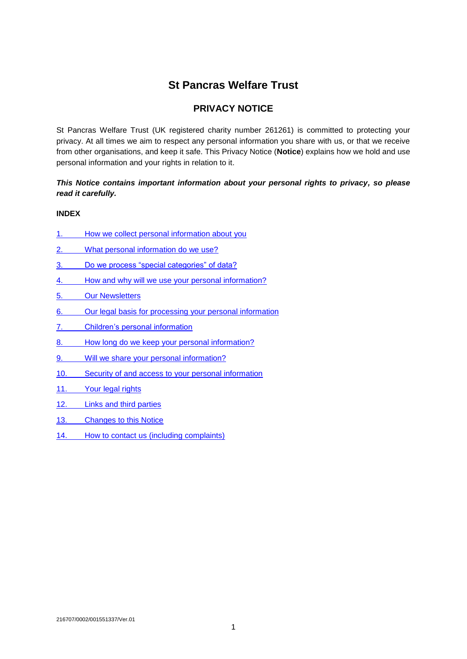# **St Pancras Welfare Trust**

## **PRIVACY NOTICE**

St Pancras Welfare Trust (UK registered charity number 261261) is committed to protecting your privacy. At all times we aim to respect any personal information you share with us, or that we receive from other organisations, and keep it safe. This Privacy Notice (**Notice**) explains how we hold and use personal information and your rights in relation to it.

## *This Notice contains important information about your personal rights to privacy, so please read it carefully.*

## **INDEX**

- 1. [How we collect personal information about you](#page-0-0)
- 2. [What personal information do we use?](#page-1-0)
- 3. [Do we process "special categories" of data?](#page-1-1)
- 4. [How and why will we use your personal information?](#page-1-2)
- [5. Our Newsletters](#page-2-0)
- 6. [Our legal basis for processing your personal information](#page-2-0)
- 7. [Children's personal information](#page-3-0)
- 8. [How long do we keep your personal information?](#page-3-1)
- 9. [Will we share your personal information?](#page-3-2)
- 10. [Security of and access to your personal information](#page-4-0)
- 11. [Your legal](#page-4-1) rights
- 12. [Links and third parties](#page-5-0)
- 13. [Changes to this Notice](#page-5-1)
- <span id="page-0-0"></span>14. How to contact us [\(including complaints\)](#page-5-2)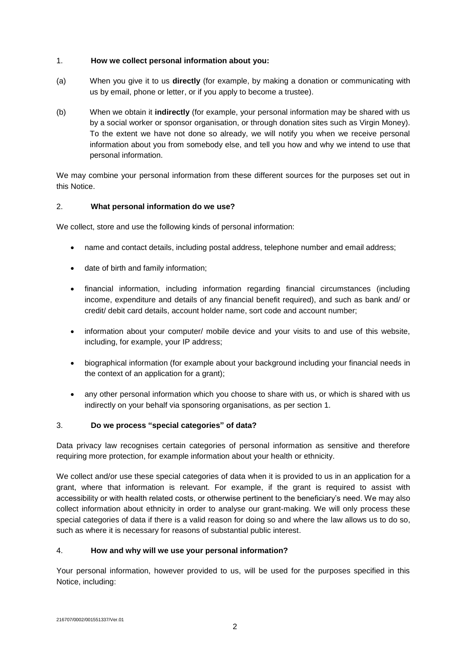## 1. **How we collect personal information about you:**

- (a) When you give it to us **directly** (for example, by making a donation or communicating with us by email, phone or letter, or if you apply to become a trustee).
- (b) When we obtain it **indirectly** (for example, your personal information may be shared with us by a social worker or sponsor organisation, or through donation sites such as Virgin Money). To the extent we have not done so already, we will notify you when we receive personal information about you from somebody else, and tell you how and why we intend to use that personal information.

We may combine your personal information from these different sources for the purposes set out in this Notice.

## <span id="page-1-0"></span>2. **What personal information do we use?**

We collect, store and use the following kinds of personal information:

- name and contact details, including postal address, telephone number and email address;
- date of birth and family information;
- financial information, including information regarding financial circumstances (including income, expenditure and details of any financial benefit required), and such as bank and/ or credit/ debit card details, account holder name, sort code and account number;
- information about your computer/ mobile device and your visits to and use of this website, including, for example, your IP address;
- biographical information (for example about your background including your financial needs in the context of an application for a grant);
- any other personal information which you choose to share with us, or which is shared with us indirectly on your behalf via sponsoring organisations, as per section 1.

## <span id="page-1-1"></span>3. **Do we process "special categories" of data?**

Data privacy law recognises certain categories of personal information as sensitive and therefore requiring more protection, for example information about your health or ethnicity.

We collect and/or use these special categories of data when it is provided to us in an application for a grant, where that information is relevant. For example, if the grant is required to assist with accessibility or with health related costs, or otherwise pertinent to the beneficiary's need. We may also collect information about ethnicity in order to analyse our grant-making. We will only process these special categories of data if there is a valid reason for doing so and where the law allows us to do so, such as where it is necessary for reasons of substantial public interest.

## <span id="page-1-2"></span>4. **How and why will we use your personal information?**

Your personal information, however provided to us, will be used for the purposes specified in this Notice, including: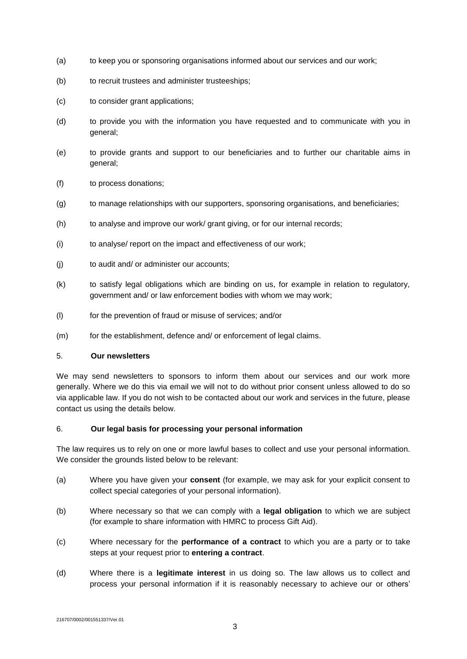- (a) to keep you or sponsoring organisations informed about our services and our work;
- (b) to recruit trustees and administer trusteeships;
- (c) to consider grant applications;
- (d) to provide you with the information you have requested and to communicate with you in general;
- (e) to provide grants and support to our beneficiaries and to further our charitable aims in general;
- (f) to process donations;
- (g) to manage relationships with our supporters, sponsoring organisations, and beneficiaries;
- (h) to analyse and improve our work/ grant giving, or for our internal records;
- (i) to analyse/ report on the impact and effectiveness of our work;
- (j) to audit and/ or administer our accounts;
- (k) to satisfy legal obligations which are binding on us, for example in relation to regulatory, government and/ or law enforcement bodies with whom we may work;
- (l) for the prevention of fraud or misuse of services; and/or
- (m) for the establishment, defence and/ or enforcement of legal claims.

## <span id="page-2-0"></span>5. **Our newsletters**

We may send newsletters to sponsors to inform them about our services and our work more generally. Where we do this via email we will not to do without prior consent unless allowed to do so via applicable law. If you do not wish to be contacted about our work and services in the future, please contact us using the details below.

#### 6. **Our legal basis for processing your personal information**

The law requires us to rely on one or more lawful bases to collect and use your personal information. We consider the grounds listed below to be relevant:

- (a) Where you have given your **consent** (for example, we may ask for your explicit consent to collect special categories of your personal information).
- (b) Where necessary so that we can comply with a **legal obligation** to which we are subject (for example to share information with HMRC to process Gift Aid).
- (c) Where necessary for the **performance of a contract** to which you are a party or to take steps at your request prior to **entering a contract**.
- (d) Where there is a **legitimate interest** in us doing so. The law allows us to collect and process your personal information if it is reasonably necessary to achieve our or others'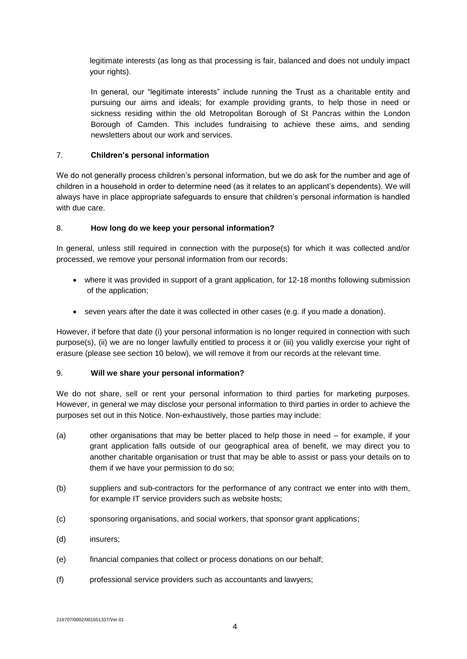legitimate interests (as long as that processing is fair, balanced and does not unduly impact your rights).

In general, our "legitimate interests" include running the Trust as a charitable entity and pursuing our aims and ideals; for example providing grants, to help those in need or sickness residing within the old Metropolitan Borough of St Pancras within the London Borough of Camden. This includes fundraising to achieve these aims, and sending newsletters about our work and services.

## <span id="page-3-0"></span>7. **Children's personal information**

We do not generally process children's personal information, but we do ask for the number and age of children in a household in order to determine need (as it relates to an applicant's dependents). We will always have in place appropriate safeguards to ensure that children's personal information is handled with due care.

## <span id="page-3-1"></span>8. **How long do we keep your personal information?**

In general, unless still required in connection with the purpose(s) for which it was collected and/or processed, we remove your personal information from our records:

- where it was provided in support of a grant application, for 12-18 months following submission of the application;
- seven years after the date it was collected in other cases (e.g. if you made a donation).

However, if before that date (i) your personal information is no longer required in connection with such purpose(s), (ii) we are no longer lawfully entitled to process it or (iii) you validly exercise your right of erasure (please see section 10 below), we will remove it from our records at the relevant time.

## <span id="page-3-2"></span>9. **Will we share your personal information?**

We do not share, sell or rent your personal information to third parties for marketing purposes. However, in general we may disclose your personal information to third parties in order to achieve the purposes set out in this Notice. Non-exhaustively, those parties may include:

- (a) other organisations that may be better placed to help those in need for example, if your grant application falls outside of our geographical area of benefit, we may direct you to another charitable organisation or trust that may be able to assist or pass your details on to them if we have your permission to do so;
- (b) suppliers and sub-contractors for the performance of any contract we enter into with them, for example IT service providers such as website hosts;
- (c) sponsoring organisations, and social workers, that sponsor grant applications;
- (d) insurers;
- (e) financial companies that collect or process donations on our behalf;
- (f) professional service providers such as accountants and lawyers;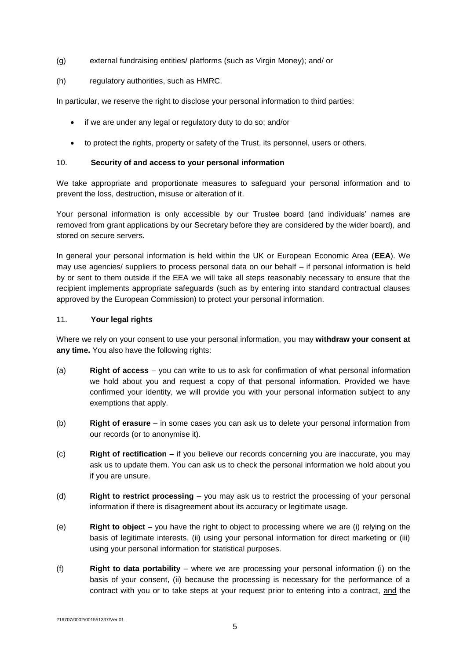- (g) external fundraising entities/ platforms (such as Virgin Money); and/ or
- (h) regulatory authorities, such as HMRC.

In particular, we reserve the right to disclose your personal information to third parties:

- if we are under any legal or regulatory duty to do so; and/or
- to protect the rights, property or safety of the Trust, its personnel, users or others.

## <span id="page-4-0"></span>10. **Security of and access to your personal information**

We take appropriate and proportionate measures to safeguard your personal information and to prevent the loss, destruction, misuse or alteration of it.

Your personal information is only accessible by our Trustee board (and individuals' names are removed from grant applications by our Secretary before they are considered by the wider board), and stored on secure servers.

In general your personal information is held within the UK or European Economic Area (**EEA**). We may use agencies/ suppliers to process personal data on our behalf – if personal information is held by or sent to them outside if the EEA we will take all steps reasonably necessary to ensure that the recipient implements appropriate safeguards (such as by entering into standard contractual clauses approved by the European Commission) to protect your personal information.

## <span id="page-4-1"></span>11. **Your legal rights**

Where we rely on your consent to use your personal information, you may **withdraw your consent at any time.** You also have the following rights:

- (a) **Right of access** you can write to us to ask for confirmation of what personal information we hold about you and request a copy of that personal information. Provided we have confirmed your identity, we will provide you with your personal information subject to any exemptions that apply.
- (b) **Right of erasure** in some cases you can ask us to delete your personal information from our records (or to anonymise it).
- (c) **Right of rectification** if you believe our records concerning you are inaccurate, you may ask us to update them. You can ask us to check the personal information we hold about you if you are unsure.
- (d) **Right to restrict processing** you may ask us to restrict the processing of your personal information if there is disagreement about its accuracy or legitimate usage.
- (e) **Right to object** you have the right to object to processing where we are (i) relying on the basis of legitimate interests, (ii) using your personal information for direct marketing or (iii) using your personal information for statistical purposes.
- (f) **Right to data portability**  where we are processing your personal information (i) on the basis of your consent, (ii) because the processing is necessary for the performance of a contract with you or to take steps at your request prior to entering into a contract, and the